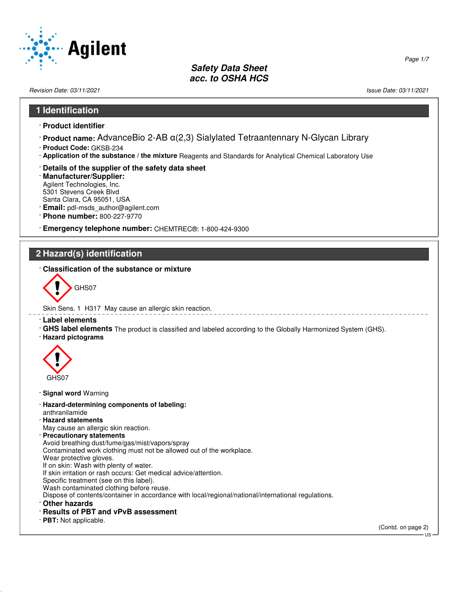

Revision Date: 03/11/2021 Issue Date: 03/11/2021

### **1 Identification**

- · **Product identifier**
- · **Product name:** AdvanceBio 2-AB α(2,3) Sialylated Tetraantennary N-Glycan Library
- · **Product Code:** GKSB-234
- · **Application of the substance / the mixture** Reagents and Standards for Analytical Chemical Laboratory Use
- · **Details of the supplier of the safety data sheet**
- · **Manufacturer/Supplier:** Agilent Technologies, Inc. 5301 Stevens Creek Blvd Santa Clara, CA 95051, USA
- · **Email:** pdl-msds\_author@agilent.com
- · **Phone number:** 800-227-9770
- · **Emergency telephone number:** CHEMTREC®: 1-800-424-9300

## **2 Hazard(s) identification**

· **Classification of the substance or mixture**



Skin Sens. 1 H317 May cause an allergic skin reaction.

- · **Label elements**
- · **GHS label elements** The product is classified and labeled according to the Globally Harmonized System (GHS).
- · **Hazard pictograms**



- · **Signal word** Warning
- · **Hazard-determining components of labeling:** anthranilamide
- · **Hazard statements** May cause an allergic skin reaction.
- · **Precautionary statements**
- 
- Avoid breathing dust/fume/gas/mist/vapors/spray Contaminated work clothing must not be allowed out of the workplace.
- Wear protective gloves.
- If on skin: Wash with plenty of water.
- If skin irritation or rash occurs: Get medical advice/attention.
- Specific treatment (see on this label).
- Wash contaminated clothing before reuse.
- Dispose of contents/container in accordance with local/regional/national/international regulations.
- · **Other hazards**

52.0.1.1

- · **Results of PBT and vPvB assessment**
- · **PBT:** Not applicable.

(Contd. on page 2) US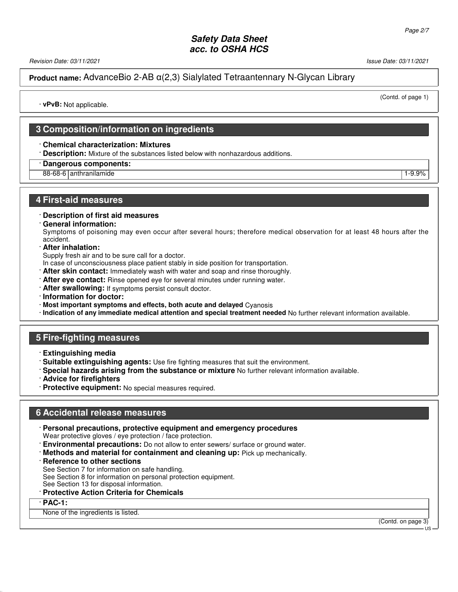Revision Date: 03/11/2021 Issue Date: 03/11/2021

(Contd. of page 1)

**Product name:** AdvanceBio 2-AB α(2,3) Sialylated Tetraantennary N-Glycan Library

· **vPvB:** Not applicable.

## **3 Composition/information on ingredients**

### · **Chemical characterization: Mixtures**

- · **Description:** Mixture of the substances listed below with nonhazardous additions.
- · **Dangerous components:**
- 88-68-6 anthranilamide 1-9.9% and 1-9.9% and 1-9.9% and 1-9.9% and 1-9.9% and 1-9.9% and 1-9.9% and 1-9.9% and 1-9.9% and 1-9.9% and 1-9.9% and 1-9.9% and 1-9.9% and 1-9.9% and 1-9.9% and 1-9.9% and 1-9.9% and 1-9.9% and 1

### **4 First-aid measures**

### · **Description of first aid measures**

· **General information:**

Symptoms of poisoning may even occur after several hours; therefore medical observation for at least 48 hours after the accident.

· **After inhalation:**

Supply fresh air and to be sure call for a doctor.

- In case of unconsciousness place patient stably in side position for transportation.
- · **After skin contact:** Immediately wash with water and soap and rinse thoroughly.
- · **After eye contact:** Rinse opened eye for several minutes under running water.
- · **After swallowing:** If symptoms persist consult doctor.
- · **Information for doctor:**
- · **Most important symptoms and effects, both acute and delayed** Cyanosis
- · **Indication of any immediate medical attention and special treatment needed** No further relevant information available.

## **5 Fire-fighting measures**

- · **Extinguishing media**
- · **Suitable extinguishing agents:** Use fire fighting measures that suit the environment.
- · **Special hazards arising from the substance or mixture** No further relevant information available.
- · **Advice for firefighters**
- · **Protective equipment:** No special measures required.

### **6 Accidental release measures**

· **Personal precautions, protective equipment and emergency procedures**

Wear protective gloves / eye protection / face protection.

- **Environmental precautions:** Do not allow to enter sewers/ surface or ground water.
- · **Methods and material for containment and cleaning up:** Pick up mechanically.
- **Reference to other sections**

See Section 7 for information on safe handling.

See Section 8 for information on personal protection equipment.

See Section 13 for disposal information.

· **Protective Action Criteria for Chemicals**

### · **PAC-1:**

52.0.1.1

None of the ingredients is listed.

(Contd. on page 3)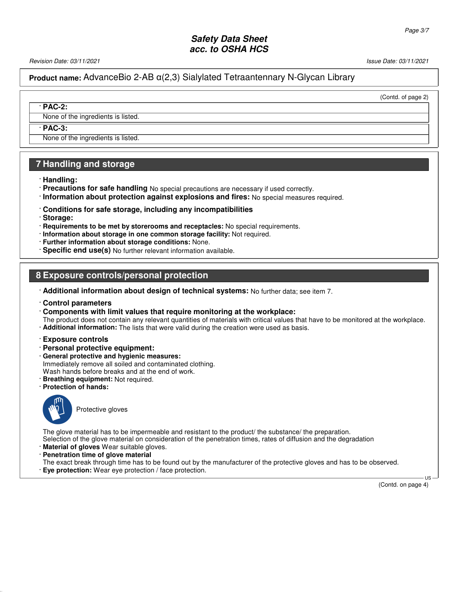Revision Date: 03/11/2021 Issue Date: 03/11/2021

## **Product name:** AdvanceBio 2-AB α(2,3) Sialylated Tetraantennary N-Glycan Library

(Contd. of page 2)

None of the ingredients is listed.

· **PAC-3:**

· **PAC-2:**

None of the ingredients is listed.

## **7 Handling and storage**

· **Handling:**

- · **Precautions for safe handling** No special precautions are necessary if used correctly.
- · **Information about protection against explosions and fires:** No special measures required.
- · **Conditions for safe storage, including any incompatibilities**
- · **Storage:**
- · **Requirements to be met by storerooms and receptacles:** No special requirements.
- · **Information about storage in one common storage facility:** Not required.
- · **Further information about storage conditions:** None.
- · **Specific end use(s)** No further relevant information available.

## **8 Exposure controls/personal protection**

· **Additional information about design of technical systems:** No further data; see item 7.

#### · **Control parameters**

- · **Components with limit values that require monitoring at the workplace:**
- The product does not contain any relevant quantities of materials with critical values that have to be monitored at the workplace. · **Additional information:** The lists that were valid during the creation were used as basis.

#### · **Exposure controls**

- · **Personal protective equipment:**
- · **General protective and hygienic measures:** Immediately remove all soiled and contaminated clothing. Wash hands before breaks and at the end of work.
- · **Breathing equipment:** Not required.
- · **Protection of hands:**



52.0.1.1

Protective gloves

The glove material has to be impermeable and resistant to the product/ the substance/ the preparation. Selection of the glove material on consideration of the penetration times, rates of diffusion and the degradation

- · **Material of gloves** Wear suitable gloves.
- · **Penetration time of glove material**

The exact break through time has to be found out by the manufacturer of the protective gloves and has to be observed. · **Eye protection:** Wear eye protection / face protection.

(Contd. on page 4)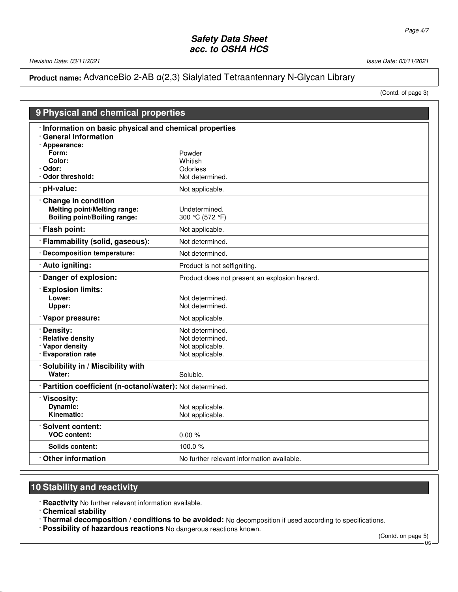Revision Date: 03/11/2021 20021

# **Product name:** AdvanceBio 2-AB α(2,3) Sialylated Tetraantennary N-Glycan Library

(Contd. of page 3)

|                                                                                                          | 9 Physical and chemical properties                                       |  |  |
|----------------------------------------------------------------------------------------------------------|--------------------------------------------------------------------------|--|--|
| Information on basic physical and chemical properties<br><b>General Information</b>                      |                                                                          |  |  |
| · Appearance:<br>Form:<br>Color:                                                                         | Powder<br>Whitish                                                        |  |  |
| Odor:<br><b>Odor threshold:</b>                                                                          | <b>Odorless</b><br>Not determined.                                       |  |  |
| pH-value:                                                                                                | Not applicable.                                                          |  |  |
| <b>Change in condition</b><br><b>Melting point/Melting range:</b><br><b>Boiling point/Boiling range:</b> | Undetermined.<br>300 ℃ (572 °F)                                          |  |  |
| · Flash point:                                                                                           | Not applicable.                                                          |  |  |
| · Flammability (solid, gaseous):                                                                         | Not determined.                                                          |  |  |
| · Decomposition temperature:                                                                             | Not determined.                                                          |  |  |
| Auto igniting:                                                                                           | Product is not selfigniting.                                             |  |  |
| Danger of explosion:                                                                                     | Product does not present an explosion hazard.                            |  |  |
| <b>Explosion limits:</b><br>Lower:<br>Upper:                                                             | Not determined.<br>Not determined.                                       |  |  |
| · Vapor pressure:                                                                                        | Not applicable.                                                          |  |  |
| Density:<br>· Relative density<br>· Vapor density<br>· Evaporation rate                                  | Not determined.<br>Not determined.<br>Not applicable.<br>Not applicable. |  |  |
| Solubility in / Miscibility with<br>Water:                                                               | Soluble.                                                                 |  |  |
|                                                                                                          | · Partition coefficient (n-octanol/water): Not determined.               |  |  |
| · Viscosity:<br><b>Dynamic:</b><br>Kinematic:                                                            | Not applicable.<br>Not applicable.                                       |  |  |
| Solvent content:<br><b>VOC content:</b>                                                                  | 0.00%                                                                    |  |  |
| Solids content:                                                                                          | 100.0 $%$                                                                |  |  |
| <b>Other information</b>                                                                                 | No further relevant information available.                               |  |  |

## **10 Stability and reactivity**

· **Reactivity** No further relevant information available.

· **Chemical stability**

52.0.1.1

· **Thermal decomposition / conditions to be avoided:** No decomposition if used according to specifications.

· **Possibility of hazardous reactions** No dangerous reactions known.

(Contd. on page 5)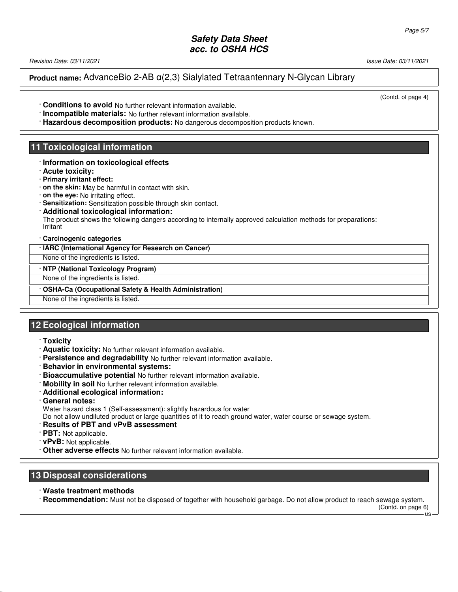Revision Date: 03/11/2021 Issue Date: 03/11/2021

**Product name:** AdvanceBio 2-AB α(2,3) Sialylated Tetraantennary N-Glycan Library

(Contd. of page 4)

- · **Conditions to avoid** No further relevant information available.
- · **Incompatible materials:** No further relevant information available.
- · **Hazardous decomposition products:** No dangerous decomposition products known.

## **11 Toxicological information**

- · **Information on toxicological effects**
- · **Acute toxicity:**
- · **Primary irritant effect:**
- · **on the skin:** May be harmful in contact with skin.
- · **on the eye:** No irritating effect.
- · **Sensitization:** Sensitization possible through skin contact.
- · **Additional toxicological information:** The product shows the following dangers according to internally approved calculation methods for preparations: Irritant

### · **Carcinogenic categories**

### · **IARC (International Agency for Research on Cancer)**

None of the ingredients is listed.

· **NTP (National Toxicology Program)**

None of the ingredients is listed.

### · **OSHA-Ca (Occupational Safety & Health Administration)**

None of the ingredients is listed.

## **12 Ecological information**

- · **Toxicity**
- · **Aquatic toxicity:** No further relevant information available.
- · **Persistence and degradability** No further relevant information available.
- · **Behavior in environmental systems:**
- · **Bioaccumulative potential** No further relevant information available.
- · **Mobility in soil** No further relevant information available.
- · **Additional ecological information:**
- · **General notes:**

Water hazard class 1 (Self-assessment): slightly hazardous for water

Do not allow undiluted product or large quantities of it to reach ground water, water course or sewage system.

- · **Results of PBT and vPvB assessment**
- · **PBT:** Not applicable.

52.0.1.1

- · **vPvB:** Not applicable.
- · **Other adverse effects** No further relevant information available.

## **13 Disposal considerations**

· **Waste treatment methods**

· **Recommendation:** Must not be disposed of together with household garbage. Do not allow product to reach sewage system.

(Contd. on page 6)  $US$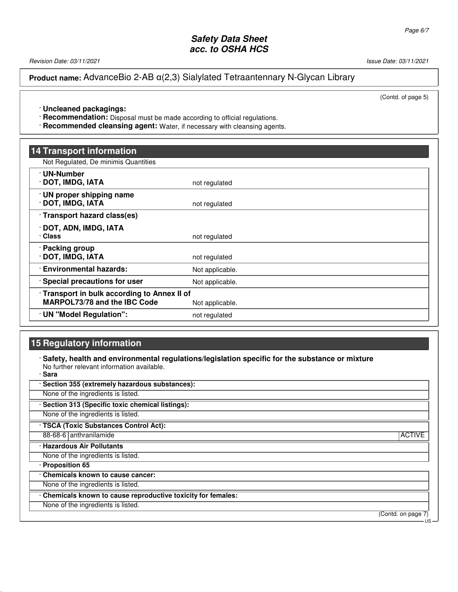Revision Date: 03/11/2021 2012 12:00:00 12:00 12:00 12:00 13:00 13:00 13:00 13:00 13:00 13:00 13:00 14:00 13:00 13:00 13:00 13:00 13:00 13:00 13:00 13:00 13:00 13:00 13:00 13:00 13:00 13:00 13:00 13:00 13:00 13:00 13:00 13

**Product name:** AdvanceBio 2-AB α(2,3) Sialylated Tetraantennary N-Glycan Library

(Contd. of page 5)

· **Uncleaned packagings:**

· **Recommendation:** Disposal must be made according to official regulations.

· **Recommended cleansing agent:** Water, if necessary with cleansing agents.

| <b>14 Transport information</b>                                                     |                 |
|-------------------------------------------------------------------------------------|-----------------|
| Not Regulated, De minimis Quantities                                                |                 |
| · UN-Number<br>· DOT, IMDG, IATA                                                    | not regulated   |
| · UN proper shipping name<br>· DOT, IMDG, IATA                                      | not regulated   |
| Transport hazard class(es)                                                          |                 |
| · DOT, ADN, IMDG, IATA<br>· Class                                                   | not regulated   |
| · Packing group<br>· DOT, IMDG, IATA                                                | not regulated   |
| <b>Environmental hazards:</b>                                                       | Not applicable. |
| · Special precautions for user                                                      | Not applicable. |
| · Transport in bulk according to Annex II of<br><b>MARPOL73/78 and the IBC Code</b> | Not applicable. |
| UN "Model Regulation":                                                              | not regulated   |

# **15 Regulatory information**

52.0.1.1

· **Safety, health and environmental regulations/legislation specific for the substance or mixture** No further relevant information available. · **Sara**

| · Section 355 (extremely hazardous substances):               |                    |
|---------------------------------------------------------------|--------------------|
| None of the ingredients is listed.                            |                    |
| · Section 313 (Specific toxic chemical listings):             |                    |
| None of the ingredients is listed.                            |                    |
| · TSCA (Toxic Substances Control Act):                        |                    |
| 88-68-6 anthranilamide                                        | <b>ACTIVE</b>      |
| · Hazardous Air Pollutants                                    |                    |
| None of the ingredients is listed.                            |                    |
| · Proposition 65                                              |                    |
| . Chemicals known to cause cancer:                            |                    |
| None of the ingredients is listed.                            |                    |
| · Chemicals known to cause reproductive toxicity for females: |                    |
| None of the ingredients is listed.                            |                    |
|                                                               | (Contd. on page 7) |